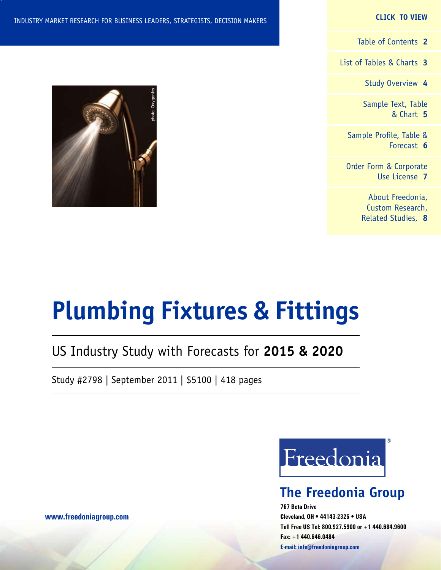#### **CLICK TO VIEW**

[Table of Contents](#page-1-0) **2**

[List of Tables & Charts](#page-2-0) **3**

[Study Overview](#page-3-0) **4**

[Sample Text, Table](#page-4-0) [& Chart](#page-4-0) **5**

[Sample Profile, Table &](#page-5-0) [Forecast](#page-5-0) **6**

[Order Form & Corporate](#page-6-0) [Use License](#page-6-0) **7**

> [About Freedonia,](#page-7-0) [Custom Research,](#page-7-0) [Related Studies,](#page-7-0) **8**



# **Plumbing Fixtures & Fittings**

## US Industry Study with Forecasts for **2015 & 2020**

Study #2798 | September 2011 | \$5100 | 418 pages



## **The Freedonia Group**

**767 Beta Drive Cleveland, OH • 44143-2326 • USA Toll Free US Tel: 800.927.5900 or +1 440.684.9600 Fax: +1 440.646.0484 E-mail: [info@freedoniagroup.com](mailto:info@freedoniagroup.com)**

**[www.freedoniagroup.com](http://www.freedoniagroup.com/Home.aspx?ReferrerId=FM-Bro)**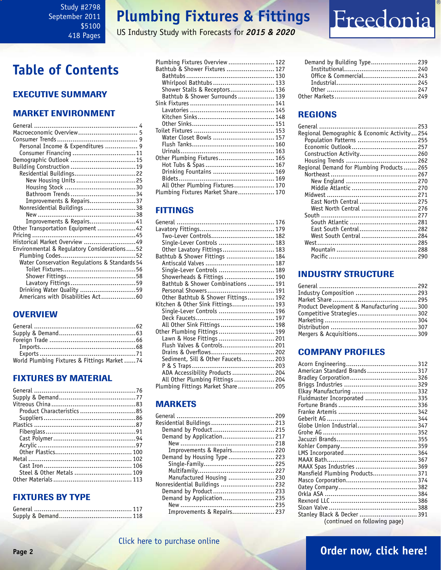## **Plumbing Fixtures & Fittings**

US Industry Study with Forecasts for *2015 & 2020*

## Freedonia

## <span id="page-1-0"></span>**Table of Contents**

### Executive Summary

### Market EnvironmenT

| Macroeconomic Overview 5                      |  |
|-----------------------------------------------|--|
|                                               |  |
| Personal Income & Expenditures  9             |  |
| Consumer Financing 11                         |  |
|                                               |  |
|                                               |  |
| Residential Buildings22                       |  |
| New Housing Units 25                          |  |
|                                               |  |
|                                               |  |
| Improvements & Repairs37                      |  |
| Nonresidential Buildings 38                   |  |
|                                               |  |
| Improvements & Repairs41                      |  |
| Other Transportation Equipment 42             |  |
|                                               |  |
| Historical Market Overview 49                 |  |
| Environmental & Regulatory Considerations52   |  |
|                                               |  |
| Water Conservation Regulations & Standards 54 |  |
|                                               |  |
|                                               |  |
|                                               |  |
| Drinking Water Quality 59                     |  |
| Americans with Disabilities Act60             |  |
|                                               |  |

### **OVERVIEW**

| World Plumbing Fixtures & Fittings Market74 |  |
|---------------------------------------------|--|

### FIXTURES BY MATERIAL

| Product Characteristics 85 |  |
|----------------------------|--|
|                            |  |
|                            |  |
|                            |  |
|                            |  |
|                            |  |
|                            |  |
|                            |  |
|                            |  |
|                            |  |
|                            |  |

### FIXTURES BY TYPE

| Plumbing Fixtures Overview  122    |  |
|------------------------------------|--|
| Bathtub & Shower Fixtures  127     |  |
|                                    |  |
| Whirlpool Bathtubs  133            |  |
| Shower Stalls & Receptors 136      |  |
| Bathtub & Shower Surrounds  139    |  |
|                                    |  |
|                                    |  |
|                                    |  |
|                                    |  |
|                                    |  |
| Water Closet Bowls  157            |  |
|                                    |  |
|                                    |  |
| Other Plumbing Fixtures 165        |  |
|                                    |  |
| Drinking Fountains  169            |  |
|                                    |  |
| All Other Plumbing Fixtures 170    |  |
| Plumbing Fixtures Market Share 170 |  |
|                                    |  |

### **FITTINGS**

| Two-Lever Controls 182              |  |
|-------------------------------------|--|
| Single-Lever Controls  183          |  |
| Other Lavatory Fittings 183         |  |
| Bathtub & Shower Fittings  184      |  |
|                                     |  |
| Single-Lever Controls  189          |  |
| Showerheads & Fittings  190         |  |
| Bathtub & Shower Combinations  191  |  |
|                                     |  |
| Other Bathtub & Shower Fittings 192 |  |
| Kitchen & Other Sink Fittings 193   |  |
| Single-Lever Controls  196          |  |
|                                     |  |
| All Other Sink Fittings  198        |  |
| Other Plumbing Fittings  199        |  |
| Lawn & Hose Fittings  201           |  |
| Flush Valves & Controls 201         |  |
| Drains & Overflows 202              |  |
| Sediment, Sill & Other Faucets 203  |  |
|                                     |  |
| ADA Accessibility Products  204     |  |
| All Other Plumbing Fittings  204    |  |
| Plumbing Fittings Market Share 205  |  |

### **MARKETS**

| Residential Buildings  213    |  |
|-------------------------------|--|
| Demand by Product 215         |  |
|                               |  |
|                               |  |
| Improvements & Repairs 220    |  |
| Demand by Housing Type  223   |  |
|                               |  |
|                               |  |
| Manufactured Housing  230     |  |
| Nonresidential Buildings  232 |  |
| Demand by Product 233         |  |
| Demand by Application 235     |  |
|                               |  |
| Improvements & Repairs 237    |  |
|                               |  |

| Demand by Building Type 239 |  |
|-----------------------------|--|
|                             |  |
|                             |  |
|                             |  |
|                             |  |
|                             |  |

### REGIONS

| Regional Demographic & Economic Activity 254 |  |
|----------------------------------------------|--|
| Population Patterns  255                     |  |
|                                              |  |
| Construction Activity 260                    |  |
|                                              |  |
| Regional Demand for Plumbing Products 265    |  |
|                                              |  |
|                                              |  |
| Middle Atlantic  270                         |  |
|                                              |  |
| East North Central  275                      |  |
| West North Central  276                      |  |
|                                              |  |
| South Atlantic  281                          |  |
| East South Central 282                       |  |
| West South Central  284                      |  |
|                                              |  |
|                                              |  |
|                                              |  |
|                                              |  |

### INDUSTRY STRUCTURE

| Industry Composition  293                |  |
|------------------------------------------|--|
|                                          |  |
| Product Development & Manufacturing  300 |  |
| Competitive Strategies 302               |  |
|                                          |  |
|                                          |  |
| Mergers & Acquisitions 309               |  |

### Company Profiles

| American Standard Brands  317   |  |
|---------------------------------|--|
|                                 |  |
|                                 |  |
|                                 |  |
| Fluidmaster Incorporated  335   |  |
|                                 |  |
|                                 |  |
|                                 |  |
|                                 |  |
| Globe Union Industrial 347      |  |
|                                 |  |
|                                 |  |
|                                 |  |
|                                 |  |
|                                 |  |
| MAAX Spas Industries  369       |  |
| Mansfield Plumbing Products 371 |  |
|                                 |  |
|                                 |  |
|                                 |  |
|                                 |  |
|                                 |  |
|                                 |  |
| Stanley Black & Decker  391     |  |
| (continued on following page)   |  |

### [Click here to purchase online](http://www.freedoniagroup.com/DocumentDetails.aspx?Referrerid=FM-Bro&StudyID=2798)

### **Page 2 [Order now, click here!](#page-6-0)**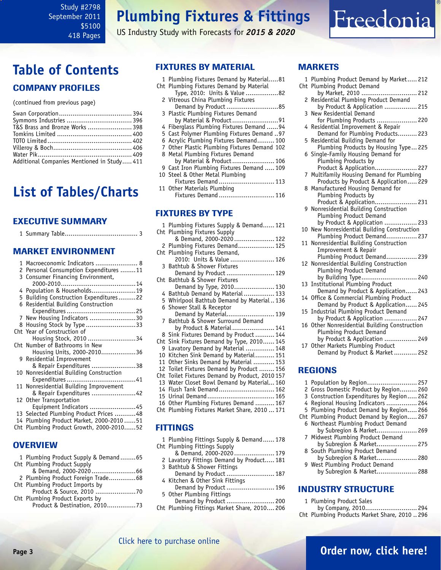## **Plumbing Fixtures & Fittings**

US Industry Study with Forecasts for *2015 & 2020*



## <span id="page-2-0"></span>**Table of Contents**

### Company Profiles

(continued from previous page)

| T&S Brass and Bronze Works  398             |  |
|---------------------------------------------|--|
|                                             |  |
|                                             |  |
|                                             |  |
|                                             |  |
| Additional Companies Mentioned in Study 411 |  |

### **List of Tables/Charts**

### Executive Summary

|     | <b>EXECUTIVE SUMMARY</b>                                                                                                   |
|-----|----------------------------------------------------------------------------------------------------------------------------|
|     |                                                                                                                            |
|     | <b>MARKET ENVIRONMENT</b>                                                                                                  |
|     | 1 Macroeconomic Indicators  8<br>2 Personal Consumption Expenditures 11<br>3 Consumer Financing Environment,               |
|     | 4 Population & Households19<br>5 Building Construction Expenditures22<br>6 Residential Building Construction               |
|     | 7 New Housing Indicators 30<br>8 Housing Stock by Type 33                                                                  |
|     | Cht Year of Construction of<br>Housing Stock, 2010 34                                                                      |
|     | Cht Number of Bathrooms in New<br>Housing Units, 2000-201036<br>9 Residential Improvement                                  |
|     | & Repair Expenditures 38<br>10 Nonresidential Building Construction                                                        |
|     | 11 Nonresidential Building Improvement<br>& Repair Expenditures 42                                                         |
|     | 12 Other Transportation<br>Equipment Indicators 45                                                                         |
| Cht | 13 Selected Plumbing Product Prices  48<br>14 Plumbing Product Market, 2000-201051<br>Plumbing Product Growth, 2000-201052 |

### **OVERVIEW**

| 1 Plumbing Product Supply & Demand65 |  |
|--------------------------------------|--|
| Cht Plumbing Product Supply          |  |
|                                      |  |
| 2 Plumbing Product Foreign Trade68   |  |
| Cht Plumbing Product Imports by      |  |
| Product & Source, 2010 70            |  |
| Cht Plumbing Product Exports by      |  |
| Product & Destination, 201073        |  |

### FIXTURES BY MATERIAL

1 Plumbing Fixtures Demand by Material.....81 Cht Plumbing Fixtures Demand by Material

|  | Type, 2010: Units & Value 82                 |  |
|--|----------------------------------------------|--|
|  | 2 Vitreous China Plumbing Fixtures           |  |
|  | Demand by Product 85                         |  |
|  | 3 Plastic Plumbing Fixtures Demand           |  |
|  | by Material & Product91                      |  |
|  | 4 Fiberglass Plumbing Fixtures Demand 94     |  |
|  | 5 Cast Polymer Plumbing Fixtures Demand  97  |  |
|  | 6 Acrylic Plumbing Fixtures Demand 100       |  |
|  | 7 Other Plastic Plumbing Fixtures Demand 102 |  |
|  | 8 Metal Plumbing Fixtures Demand             |  |
|  | by Material & Product 106                    |  |
|  | 9 Cast Iron Plumbing Fixtures Demand  109    |  |
|  | 10 Steel & Other Metal Plumbing              |  |
|  | Fixtures Demand  113                         |  |
|  |                                              |  |

11 Other Materials Plumbing Fixtures Demand ............................. 116

### FIXTURES BY TYPE

|     | 1 Plumbing Fixtures Supply & Demand 121         |
|-----|-------------------------------------------------|
|     | Cht Plumbing Fixtures Supply                    |
|     | & Demand, 2000-2020 122                         |
|     | 2 Plumbing Fixtures Demand 125                  |
|     | Cht Plumbing Fixtures Demand,                   |
|     | 2010: Units & Value  126                        |
|     | 3 Bathtub & Shower Fixtures                     |
|     | Demand by Product  129                          |
|     | Cht Bathtub & Shower Fixtures                   |
|     | Demand by Type, 2010 130                        |
|     | 4 Bathtub Demand by Material 133                |
|     | 5 Whirlpool Bathtub Demand by Material136       |
|     | 6 Shower Stall & Receptor                       |
|     | Demand by Material 139                          |
|     | 7 Bathtub & Shower Surround Demand              |
|     | by Product & Material 141                       |
|     | 8 Sink Fixtures Demand by Product  144          |
|     | Cht Sink Fixtures Demand by Type, 2010 145      |
|     | 9 Lavatory Demand by Material  148              |
|     | 10 Kitchen Sink Demand by Material 151          |
|     | 11 Other Sinks Demand by Material  153          |
|     | 12 Toilet Fixtures Demand by Product  156       |
|     | Cht Toilet Fixtures Demand by Product, 2010 157 |
| 13  | Water Closet Bowl Demand by Material 160        |
|     | 14 Flush Tank Demand 162                        |
|     | 15 Urinal Demand 165                            |
| 16  | Other Plumbing Fixtures Demand  167             |
| Cht | Plumbing Fixtures Market Share, 2010  171       |
|     |                                                 |
|     | <b>TTINGS</b>                                   |
|     |                                                 |

| 1 Plumbing Fittings Supply & Demand 178   |
|-------------------------------------------|
| Cht Plumbing Fittings Supply              |
| & Demand, 2000-2020 179                   |
| 2 Lavatory Fittings Demand by Product 181 |
| 3 Bathtub & Shower Fittings               |
| Demand by Product  187                    |
| 4 Kitchen & Other Sink Fittings           |
| Demand by Product  196                    |
| 5 Other Plumbing Fittings                 |
| Demand by Product  200                    |
|                                           |

Cht Plumbing Fittings Market Share, 2010.... 206

### **MARKETS**

| Cht Plumbing Product Demand<br>by Market, 2010  212<br>Residential Plumbing Product Demand<br>2<br>by Product & Application  215<br>3<br>New Residential Demand<br>for Plumbing Products  220<br>Residential Improvement & Repair<br>4<br>Demand for Plumbing Products 223<br>Residential Building Demand for<br>5<br>Plumbing Products by Housing Type 225<br>Single-Family Housing Demand for<br>6<br>Plumbing Products by<br>Product & Application 227<br>Multifamily Housing Demand for Plumbing<br>7<br>Products by Product & Application 229<br>Manufactured Housing Demand for<br>8<br>Plumbing Products by<br>Product & Application 231<br>9 Nonresidential Building Construction<br>Plumbing Product Demand<br>by Product & Application  233<br>New Nonresidential Building Construction<br>10<br>Plumbing Product Demand 237<br>Nonresidential Building Construction<br>11<br>Improvement & Repair<br>Plumbing Product Demand 239<br>12 Nonresidential Building Construction<br>Plumbing Product Demand<br>by Building Type 240<br>Institutional Plumbing Product<br>13<br>Demand by Product & Application 243<br>Office & Commercial Plumbing Product<br>14<br>Demand by Product & Application 245<br><b>Industrial Plumbing Product Demand</b><br>15<br>by Product & Application  247<br>Other Nonresidential Building Construction<br>16<br>Plumbing Product Demand<br>by Product & Application  249<br>17 Other Markets Plumbing Product<br>Demand by Product & Market  252<br><b>REGIONS</b><br>Population by Region 257<br>1 |   | 1 Plumbing Product Demand by Market 212 |
|----------------------------------------------------------------------------------------------------------------------------------------------------------------------------------------------------------------------------------------------------------------------------------------------------------------------------------------------------------------------------------------------------------------------------------------------------------------------------------------------------------------------------------------------------------------------------------------------------------------------------------------------------------------------------------------------------------------------------------------------------------------------------------------------------------------------------------------------------------------------------------------------------------------------------------------------------------------------------------------------------------------------------------------------------------------------------------------------------------------------------------------------------------------------------------------------------------------------------------------------------------------------------------------------------------------------------------------------------------------------------------------------------------------------------------------------------------------------------------------------------------------------------------------------|---|-----------------------------------------|
|                                                                                                                                                                                                                                                                                                                                                                                                                                                                                                                                                                                                                                                                                                                                                                                                                                                                                                                                                                                                                                                                                                                                                                                                                                                                                                                                                                                                                                                                                                                                              |   |                                         |
|                                                                                                                                                                                                                                                                                                                                                                                                                                                                                                                                                                                                                                                                                                                                                                                                                                                                                                                                                                                                                                                                                                                                                                                                                                                                                                                                                                                                                                                                                                                                              |   |                                         |
|                                                                                                                                                                                                                                                                                                                                                                                                                                                                                                                                                                                                                                                                                                                                                                                                                                                                                                                                                                                                                                                                                                                                                                                                                                                                                                                                                                                                                                                                                                                                              |   |                                         |
|                                                                                                                                                                                                                                                                                                                                                                                                                                                                                                                                                                                                                                                                                                                                                                                                                                                                                                                                                                                                                                                                                                                                                                                                                                                                                                                                                                                                                                                                                                                                              |   |                                         |
|                                                                                                                                                                                                                                                                                                                                                                                                                                                                                                                                                                                                                                                                                                                                                                                                                                                                                                                                                                                                                                                                                                                                                                                                                                                                                                                                                                                                                                                                                                                                              |   |                                         |
|                                                                                                                                                                                                                                                                                                                                                                                                                                                                                                                                                                                                                                                                                                                                                                                                                                                                                                                                                                                                                                                                                                                                                                                                                                                                                                                                                                                                                                                                                                                                              |   |                                         |
|                                                                                                                                                                                                                                                                                                                                                                                                                                                                                                                                                                                                                                                                                                                                                                                                                                                                                                                                                                                                                                                                                                                                                                                                                                                                                                                                                                                                                                                                                                                                              |   |                                         |
|                                                                                                                                                                                                                                                                                                                                                                                                                                                                                                                                                                                                                                                                                                                                                                                                                                                                                                                                                                                                                                                                                                                                                                                                                                                                                                                                                                                                                                                                                                                                              |   |                                         |
|                                                                                                                                                                                                                                                                                                                                                                                                                                                                                                                                                                                                                                                                                                                                                                                                                                                                                                                                                                                                                                                                                                                                                                                                                                                                                                                                                                                                                                                                                                                                              |   |                                         |
|                                                                                                                                                                                                                                                                                                                                                                                                                                                                                                                                                                                                                                                                                                                                                                                                                                                                                                                                                                                                                                                                                                                                                                                                                                                                                                                                                                                                                                                                                                                                              |   |                                         |
|                                                                                                                                                                                                                                                                                                                                                                                                                                                                                                                                                                                                                                                                                                                                                                                                                                                                                                                                                                                                                                                                                                                                                                                                                                                                                                                                                                                                                                                                                                                                              |   |                                         |
|                                                                                                                                                                                                                                                                                                                                                                                                                                                                                                                                                                                                                                                                                                                                                                                                                                                                                                                                                                                                                                                                                                                                                                                                                                                                                                                                                                                                                                                                                                                                              |   |                                         |
|                                                                                                                                                                                                                                                                                                                                                                                                                                                                                                                                                                                                                                                                                                                                                                                                                                                                                                                                                                                                                                                                                                                                                                                                                                                                                                                                                                                                                                                                                                                                              |   |                                         |
|                                                                                                                                                                                                                                                                                                                                                                                                                                                                                                                                                                                                                                                                                                                                                                                                                                                                                                                                                                                                                                                                                                                                                                                                                                                                                                                                                                                                                                                                                                                                              |   |                                         |
|                                                                                                                                                                                                                                                                                                                                                                                                                                                                                                                                                                                                                                                                                                                                                                                                                                                                                                                                                                                                                                                                                                                                                                                                                                                                                                                                                                                                                                                                                                                                              |   |                                         |
|                                                                                                                                                                                                                                                                                                                                                                                                                                                                                                                                                                                                                                                                                                                                                                                                                                                                                                                                                                                                                                                                                                                                                                                                                                                                                                                                                                                                                                                                                                                                              |   |                                         |
|                                                                                                                                                                                                                                                                                                                                                                                                                                                                                                                                                                                                                                                                                                                                                                                                                                                                                                                                                                                                                                                                                                                                                                                                                                                                                                                                                                                                                                                                                                                                              |   |                                         |
|                                                                                                                                                                                                                                                                                                                                                                                                                                                                                                                                                                                                                                                                                                                                                                                                                                                                                                                                                                                                                                                                                                                                                                                                                                                                                                                                                                                                                                                                                                                                              |   |                                         |
|                                                                                                                                                                                                                                                                                                                                                                                                                                                                                                                                                                                                                                                                                                                                                                                                                                                                                                                                                                                                                                                                                                                                                                                                                                                                                                                                                                                                                                                                                                                                              |   |                                         |
|                                                                                                                                                                                                                                                                                                                                                                                                                                                                                                                                                                                                                                                                                                                                                                                                                                                                                                                                                                                                                                                                                                                                                                                                                                                                                                                                                                                                                                                                                                                                              |   |                                         |
|                                                                                                                                                                                                                                                                                                                                                                                                                                                                                                                                                                                                                                                                                                                                                                                                                                                                                                                                                                                                                                                                                                                                                                                                                                                                                                                                                                                                                                                                                                                                              |   |                                         |
|                                                                                                                                                                                                                                                                                                                                                                                                                                                                                                                                                                                                                                                                                                                                                                                                                                                                                                                                                                                                                                                                                                                                                                                                                                                                                                                                                                                                                                                                                                                                              |   |                                         |
|                                                                                                                                                                                                                                                                                                                                                                                                                                                                                                                                                                                                                                                                                                                                                                                                                                                                                                                                                                                                                                                                                                                                                                                                                                                                                                                                                                                                                                                                                                                                              |   |                                         |
|                                                                                                                                                                                                                                                                                                                                                                                                                                                                                                                                                                                                                                                                                                                                                                                                                                                                                                                                                                                                                                                                                                                                                                                                                                                                                                                                                                                                                                                                                                                                              |   |                                         |
|                                                                                                                                                                                                                                                                                                                                                                                                                                                                                                                                                                                                                                                                                                                                                                                                                                                                                                                                                                                                                                                                                                                                                                                                                                                                                                                                                                                                                                                                                                                                              |   |                                         |
|                                                                                                                                                                                                                                                                                                                                                                                                                                                                                                                                                                                                                                                                                                                                                                                                                                                                                                                                                                                                                                                                                                                                                                                                                                                                                                                                                                                                                                                                                                                                              |   |                                         |
|                                                                                                                                                                                                                                                                                                                                                                                                                                                                                                                                                                                                                                                                                                                                                                                                                                                                                                                                                                                                                                                                                                                                                                                                                                                                                                                                                                                                                                                                                                                                              |   |                                         |
|                                                                                                                                                                                                                                                                                                                                                                                                                                                                                                                                                                                                                                                                                                                                                                                                                                                                                                                                                                                                                                                                                                                                                                                                                                                                                                                                                                                                                                                                                                                                              |   |                                         |
|                                                                                                                                                                                                                                                                                                                                                                                                                                                                                                                                                                                                                                                                                                                                                                                                                                                                                                                                                                                                                                                                                                                                                                                                                                                                                                                                                                                                                                                                                                                                              |   |                                         |
|                                                                                                                                                                                                                                                                                                                                                                                                                                                                                                                                                                                                                                                                                                                                                                                                                                                                                                                                                                                                                                                                                                                                                                                                                                                                                                                                                                                                                                                                                                                                              |   |                                         |
|                                                                                                                                                                                                                                                                                                                                                                                                                                                                                                                                                                                                                                                                                                                                                                                                                                                                                                                                                                                                                                                                                                                                                                                                                                                                                                                                                                                                                                                                                                                                              |   |                                         |
|                                                                                                                                                                                                                                                                                                                                                                                                                                                                                                                                                                                                                                                                                                                                                                                                                                                                                                                                                                                                                                                                                                                                                                                                                                                                                                                                                                                                                                                                                                                                              |   |                                         |
|                                                                                                                                                                                                                                                                                                                                                                                                                                                                                                                                                                                                                                                                                                                                                                                                                                                                                                                                                                                                                                                                                                                                                                                                                                                                                                                                                                                                                                                                                                                                              |   |                                         |
|                                                                                                                                                                                                                                                                                                                                                                                                                                                                                                                                                                                                                                                                                                                                                                                                                                                                                                                                                                                                                                                                                                                                                                                                                                                                                                                                                                                                                                                                                                                                              |   |                                         |
|                                                                                                                                                                                                                                                                                                                                                                                                                                                                                                                                                                                                                                                                                                                                                                                                                                                                                                                                                                                                                                                                                                                                                                                                                                                                                                                                                                                                                                                                                                                                              |   |                                         |
|                                                                                                                                                                                                                                                                                                                                                                                                                                                                                                                                                                                                                                                                                                                                                                                                                                                                                                                                                                                                                                                                                                                                                                                                                                                                                                                                                                                                                                                                                                                                              |   |                                         |
|                                                                                                                                                                                                                                                                                                                                                                                                                                                                                                                                                                                                                                                                                                                                                                                                                                                                                                                                                                                                                                                                                                                                                                                                                                                                                                                                                                                                                                                                                                                                              |   |                                         |
|                                                                                                                                                                                                                                                                                                                                                                                                                                                                                                                                                                                                                                                                                                                                                                                                                                                                                                                                                                                                                                                                                                                                                                                                                                                                                                                                                                                                                                                                                                                                              |   |                                         |
|                                                                                                                                                                                                                                                                                                                                                                                                                                                                                                                                                                                                                                                                                                                                                                                                                                                                                                                                                                                                                                                                                                                                                                                                                                                                                                                                                                                                                                                                                                                                              |   |                                         |
|                                                                                                                                                                                                                                                                                                                                                                                                                                                                                                                                                                                                                                                                                                                                                                                                                                                                                                                                                                                                                                                                                                                                                                                                                                                                                                                                                                                                                                                                                                                                              |   |                                         |
|                                                                                                                                                                                                                                                                                                                                                                                                                                                                                                                                                                                                                                                                                                                                                                                                                                                                                                                                                                                                                                                                                                                                                                                                                                                                                                                                                                                                                                                                                                                                              |   |                                         |
|                                                                                                                                                                                                                                                                                                                                                                                                                                                                                                                                                                                                                                                                                                                                                                                                                                                                                                                                                                                                                                                                                                                                                                                                                                                                                                                                                                                                                                                                                                                                              |   |                                         |
|                                                                                                                                                                                                                                                                                                                                                                                                                                                                                                                                                                                                                                                                                                                                                                                                                                                                                                                                                                                                                                                                                                                                                                                                                                                                                                                                                                                                                                                                                                                                              | 2 | Gross Domestic Product by Region 260    |
| Construction Expenditures by Region 262<br>3                                                                                                                                                                                                                                                                                                                                                                                                                                                                                                                                                                                                                                                                                                                                                                                                                                                                                                                                                                                                                                                                                                                                                                                                                                                                                                                                                                                                                                                                                                 |   |                                         |
| Regional Housing Indicators  264<br>4                                                                                                                                                                                                                                                                                                                                                                                                                                                                                                                                                                                                                                                                                                                                                                                                                                                                                                                                                                                                                                                                                                                                                                                                                                                                                                                                                                                                                                                                                                        |   |                                         |

| 5 Plumbing Product Demand by Region 266   |
|-------------------------------------------|
| Cht Plumbing Product Demand by Region 267 |
| 6 Northeast Plumbing Product Demand       |
| by Subregion & Market 269                 |

- 7 Midwest Plumbing Product Demand by Subregion & Market..................... 275 8 South Plumbing Product Demand
- by Subregion & Market..................... 280 9 West Plumbing Product Demand
- by Subregion & Market..................... 288

### INDUSTRY STRUCTURE

- 1 Plumbing Product Sales by Company, 2010........................... 294
- Cht Plumbing Products Market Share, 2010 .. 296

### **Page 3 [Order now, click here!](#page-6-0)**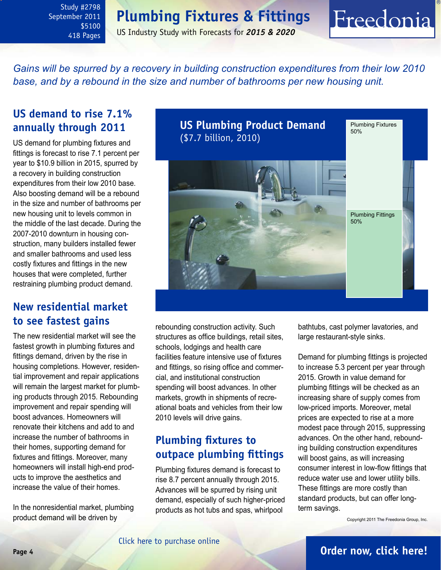### **Plumbing Fixtures & Fittings**

US Industry Study with Forecasts for *2015 & 2020*

<span id="page-3-0"></span>*Gains will be spurred by a recovery in building construction expenditures from their low 2010*  base, and by a rebound in the size and number of bathrooms per new housing unit.

### **US demand to rise 7.1% annually through 2011**

US demand for plumbing fixtures and fittings is forecast to rise 7.1 percent per year to \$10.9 billion in 2015, spurred by a recovery in building construction expenditures from their low 2010 base. Also boosting demand will be a rebound in the size and number of bathrooms per new housing unit to levels common in the middle of the last decade. During the 2007-2010 downturn in housing construction, many builders installed fewer and smaller bathrooms and used less costly fixtures and fittings in the new houses that were completed, further restraining plumbing product demand.

### **New residential market to see fastest gains**

The new residential market will see the fastest growth in plumbing fixtures and fittings demand, driven by the rise in housing completions. However, residential improvement and repair applications will remain the largest market for plumbing products through 2015. Rebounding improvement and repair spending will boost advances. Homeowners will renovate their kitchens and add to and increase the number of bathrooms in their homes, supporting demand for fixtures and fittings. Moreover, many homeowners will install high-end products to improve the aesthetics and increase the value of their homes.

In the nonresidential market, plumbing product demand will be driven by



rebounding construction activity. Such structures as office buildings, retail sites, schools, lodgings and health care facilities feature intensive use of fixtures and fittings, so rising office and commercial, and institutional construction spending will boost advances. In other markets, growth in shipments of recreational boats and vehicles from their low 2010 levels will drive gains.

### **Plumbing fixtures to outpace plumbing fittings**

Plumbing fixtures demand is forecast to rise 8.7 percent annually through 2015. Advances will be spurred by rising unit demand, especially of such higher-priced products as hot tubs and spas, whirlpool

bathtubs, cast polymer lavatories, and large restaurant-style sinks.

Freedonia

Demand for plumbing fittings is projected to increase 5.3 percent per year through 2015. Growth in value demand for plumbing fittings will be checked as an increasing share of supply comes from low-priced imports. Moreover, metal prices are expected to rise at a more modest pace through 2015, suppressing advances. On the other hand, rebounding building construction expenditures will boost gains, as will increasing consumer interest in low-flow fittings that reduce water use and lower utility bills. These fittings are more costly than standard products, but can offer longterm savings.

Copyright 2011 The Freedonia Group, Inc.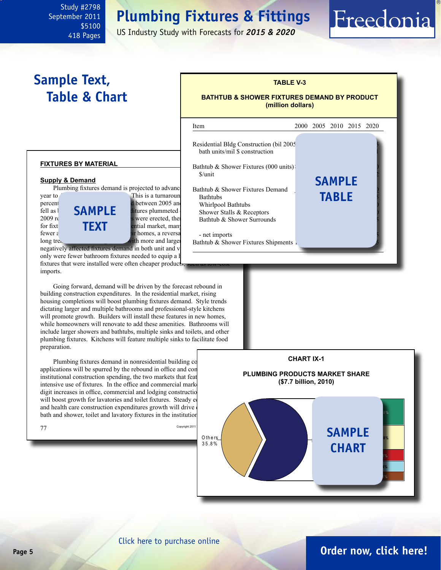## **Plumbing Fixtures & Fittings**

US Industry Study with Forecasts for *2015 & 2020*

## <span id="page-4-0"></span>**Sample Text, Table & Chart**

### **TABLE V-3**

#### **BATHTUB & SHOWER FIXTURES DEMAND BY PRODUCT (million dollars)**



**fixtures by material**

#### **Supply & Demand**

Plumbing fixtures demand is projected to advance

year to 41.6 million units is a turnaround from the 7.6 million units is a turnaround from the 7.6 million the 7.5 million units is a turnaround from the 7.5 million units is a turnaround from the 7.5 million of the 7.5 mi percent annual declines experienced between 2005 and 2005 and 2010. Demand fell as **SAMPLE** ditures plummeted shower Shower S  $2009 \text{ r}$  fewer structures were erected, then for fixt  $\mathbf{T} \in \mathbf{X}$  residential market, many fewer  $\varepsilon$  and smaller bathrooms in the decade- $\frac{1}{2}$  long trend of construction of construction bathrooms. This is the particle bathrooms. This is the particle bathrooms. This is the particle bathrooms. This is the particle bathrooms. This is the particle bathroom **text**

negatively affected fixtures demand in both unit and v only were fewer bathroom fixtures needed to equip a l fixtures that were installed were often cheaper product imports.

 Going forward, demand will be driven by the forecast rebound in building construction expenditures. In the residential market, rising housing completions will boost plumbing fixtures demand. Style trends dictating larger and multiple bathrooms and professional-style kitchens will promote growth. Builders will install these features in new homes, while homeowners will renovate to add these amenities. Bathrooms will include larger showers and bathtubs, multiple sinks and toilets, and other plumbing fixtures. Kitchens will feature multiple sinks to facilitate food preparation.

Plumbing fixtures demand in nonresidential building co applications will be spurred by the rebound in office and coninstitutional construction spending, the two markets that feat intensive use of fixtures. In the office and commercial mark digit increases in office, commercial and lodging construction will boost growth for lavatories and toilet fixtures. Steady e and health care construction expenditures growth will drive bath and shower, toilet and lavatory fixtures in the institution



**7.1%**

Freedonia

**Jacu z z i Am erican St an d ard M o en**

**M asco**

**K o h ler**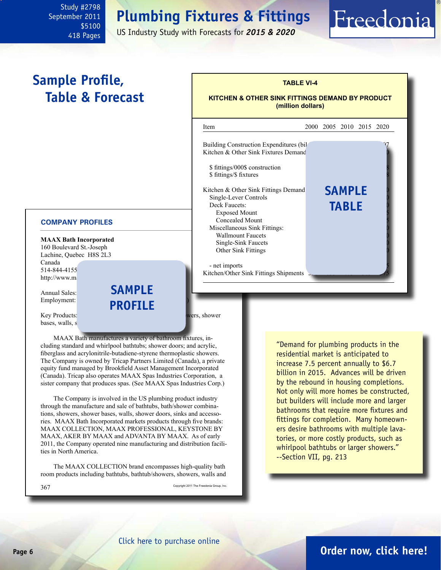## **Plumbing Fixtures & Fittings**

US Industry Study with Forecasts for *2015 & 2020*

## **Sample Profile, Table & Forecast**

<span id="page-5-0"></span>Study #2798 September 2011

> \$5100 418 Pages

#### **COMPANY PROFILES**

**MAAX Bath Incorporated** 160 Boulevard St.-Joseph Lachine, Quebec H8S 2L3 Canada 514-844-4155 http://www.ma

Annual Sales: Employment:

**sample profile**

**Key Products:** bath unit bath unit bath unit bath unit bath wers, shower bases, walls, s

 MAAX Bath manufactures a variety of bathroom fixtures, including standard and whirlpool bathtubs; shower doors; and acrylic, fiberglass and acrylonitrile-butadiene-styrene thermoplastic showers. The Company is owned by Tricap Partners Limited (Canada), a private equity fund managed by Brookfield Asset Management Incorporated (Canada). Tricap also operates MAAX Spas Industries Corporation, a sister company that produces spas. (See MAAX Spas Industries Corp.)

 The Company is involved in the US plumbing product industry through the manufacture and sale of bathtubs, bath/shower combinations, showers, shower bases, walls, shower doors, sinks and accessories. MAAX Bath Incorporated markets products through five brands: MAAX COLLECTION, MAAX PROFESSIONAL, KEYSTONE BY MAAX, AKER BY MAAX and ADVANTA BY MAAX. As of early 2011, the Company operated nine manufacturing and distribution facilities in North America.

 The MAAX COLLECTION brand encompasses high-quality bath room products including bathtubs, bathtub/showers, showers, walls and

 $367$  Copyright 2011 The Freedonia Group, Inc.

"Demand for plumbing products in the residential market is anticipated to increase 7.5 percent annually to \$6.7 billion in 2015. Advances will be driven by the rebound in housing completions. Not only will more homes be constructed, but builders will include more and larger bathrooms that require more fixtures and fittings for completion. Many homeowners desire bathrooms with multiple lavatories, or more costly products, such as whirlpool bathtubs or larger showers." --Section VII, pg. 213

### **Page 6 [Order now, click here!](#page-6-0)**

### **(million dollars)** l Item 2000 2005 2010 2015 2020 Building Construction Expenditures (bil Kitchen  $& Other Sink Fixtures Demand$ \$ fittings/000\$ construction \$ fittings/\$ fixtures Kitchen & Other Sink Fittings Demand Single-Lever Controls Deck Faucets:<br>
Exposed Mount<br> **TABLE** Exposed Mount Concealed Mount Miscellaneous Sink Fittings: Wallmount Faucets Single-Sink Faucets Other Sink Fittings - net imports Kitchen/Other Sink Fittings Shipments **sample**

**TABLE VI-4**

**KITCHEN & OTHER SINK FITTINGS DEMAND BY PRODUCT**

## Freedonia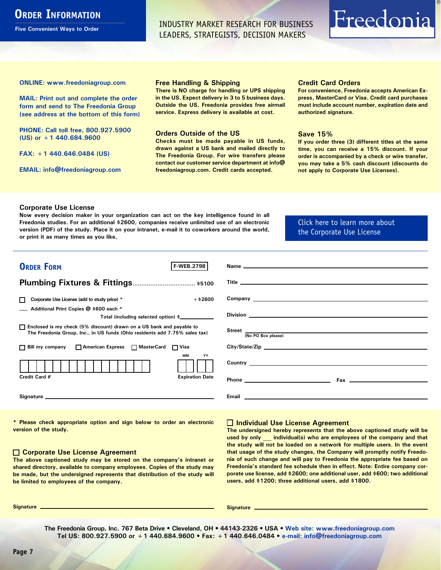### <span id="page-6-0"></span>**ORDER INFORMATION**

**Five Convenient Ways to Order**

INDUSTRY MARKET RESEARCH FOR BUSINESS LEADERS, STRATEGISTS, DECISION MAKERS

## Freedonia

**ONLINE: [www.freedoniagroup.com](http://www.freedoniagroup.com/DocumentDetails.aspx?Referrerid=FM-Bro&StudyID=2798)**

**MAIL: Print out and complete the order form and send to The Freedonia Group (see address at the bottom of this form)**

**PHONE: Call toll free, 800.927.5900 (US) or +1 440.684.9600**

**FAX: +1 440.646.0484 (US)**

**EMAIL: [info@freedoniagroup.com](mailto:info@freedoniagroup.com)**

#### **Free Handling & Shipping**

**There is NO charge for handling or UPS shipping in the US. Expect delivery in 3 to 5 business days. Outside the US, Freedonia provides free airmail service. Express delivery is available at cost.**

#### **Orders Outside of the US**

**Checks must be made payable in US funds, drawn against a US bank and mailed directly to The Freedonia Group. For wire transfers please contact our customer service department at info@ freedoniagroup.com. Credit cards accepted.**

#### **Credit Card Orders**

**For convenience, Freedonia accepts American Express, MasterCard or Visa. Credit card purchases must include account number, expiration date and authorized signature.**

#### **Save 15%**

**If you order three (3) different titles at the same time, you can receive a 15% discount. If your order is accompanied by a check or wire transfer, you may take a 5% cash discount (discounts do not apply to Corporate Use Licenses).**

#### **Corporate Use License**

**Now every decision maker in your organization can act on the key intelligence found in all Freedonia studies. For an additional \$2600, companies receive unlimited use of an electronic version (PDF) of the study. Place it on your intranet, e-mail it to coworkers around the world, or print it as many times as you like,** 

[Click here to learn more about](http://www.freedoniagroup.com/pdf/FreedoniaCULBro.pdf)  [the Corporate Use License](http://www.freedoniagroup.com/pdf/FreedoniaCULBro.pdf)

| <b>ORDER FORM</b><br><b>F-WEB.2798</b>                                                                                                                                                                                         |                                                                                                                                                                                                                                     |
|--------------------------------------------------------------------------------------------------------------------------------------------------------------------------------------------------------------------------------|-------------------------------------------------------------------------------------------------------------------------------------------------------------------------------------------------------------------------------------|
|                                                                                                                                                                                                                                |                                                                                                                                                                                                                                     |
|                                                                                                                                                                                                                                |                                                                                                                                                                                                                                     |
| $+$ \$2600<br>Corporate Use License (add to study price) *                                                                                                                                                                     | Company <u>example</u> and the company of the company of the company of the company of the company of the company of the company of the company of the company of the company of the company of the company of the company of the c |
| Additional Print Copies @ \$600 each *                                                                                                                                                                                         |                                                                                                                                                                                                                                     |
| Total (including selected option) \$                                                                                                                                                                                           | Division <b>Division Division Contract Contract Contract Contract Contract Contract Contract Contract Contract Contract Contract Contract Contract Contract Contract Contract Contract Contract Contract Contract Contract C</b>    |
| □ Enclosed is my check (5% discount) drawn on a US bank and payable to<br>The Freedonia Group, Inc., in US funds (Ohio residents add 7.75% sales tax)                                                                          | Street <sub>(No</sub> PO Box please)<br>No PO Box please)                                                                                                                                                                           |
|                                                                                                                                                                                                                                |                                                                                                                                                                                                                                     |
| □ Bill my company □ American Express □ MasterCard □ Visa                                                                                                                                                                       | City/State/Zip                                                                                                                                                                                                                      |
| <b>MM</b><br>YY                                                                                                                                                                                                                |                                                                                                                                                                                                                                     |
| Credit Card #<br><b>Expiration Date</b>                                                                                                                                                                                        |                                                                                                                                                                                                                                     |
| Signature experience and the state of the state of the state of the state of the state of the state of the state of the state of the state of the state of the state of the state of the state of the state of the state of th | <b>Email Exercise Contract Contract Contract Contract Contract Contract Contract Contract Contract Contract Contract Contract Contract Contract Contract Contract Contract Contract Contract Contract Contract Contract Contra</b>  |

**\* Please check appropriate option and sign below to order an electronic version of the study.**

#### **Corporate Use License Agreement**

**The above captioned study may be stored on the company's intranet or shared directory, available to company employees. Copies of the study may be made, but the undersigned represents that distribution of the study will be limited to employees of the company.**

#### **Individual Use License Agreement**

**The undersigned hereby represents that the above captioned study will be used by only \_\_\_ individual(s) who are employees of the company and that the study will not be loaded on a network for multiple users. In the event that usage of the study changes, the Company will promptly notify Freedonia of such change and will pay to Freedonia the appropriate fee based on Freedonia's standard fee schedule then in effect. Note: Entire company corporate use license, add \$2600; one additional user, add \$600; two additional users, add \$1200; three additional users, add \$1800.**

**Signature Signature**

**The Freedonia Group, Inc. 767 Beta Drive • Cleveland, OH • 44143-2326 • USA • [Web site: www.freedoniagroup.com](http://www.freedoniagroup.com/Home.aspx?ReferrerId=FM-Bro) Tel US: 800.927.5900 or +1 440.684.9600 • Fax: +1 440.646.0484 • [e-mail: info@freedoniagroup.com](mailto:info@freedoniagroup.com)**